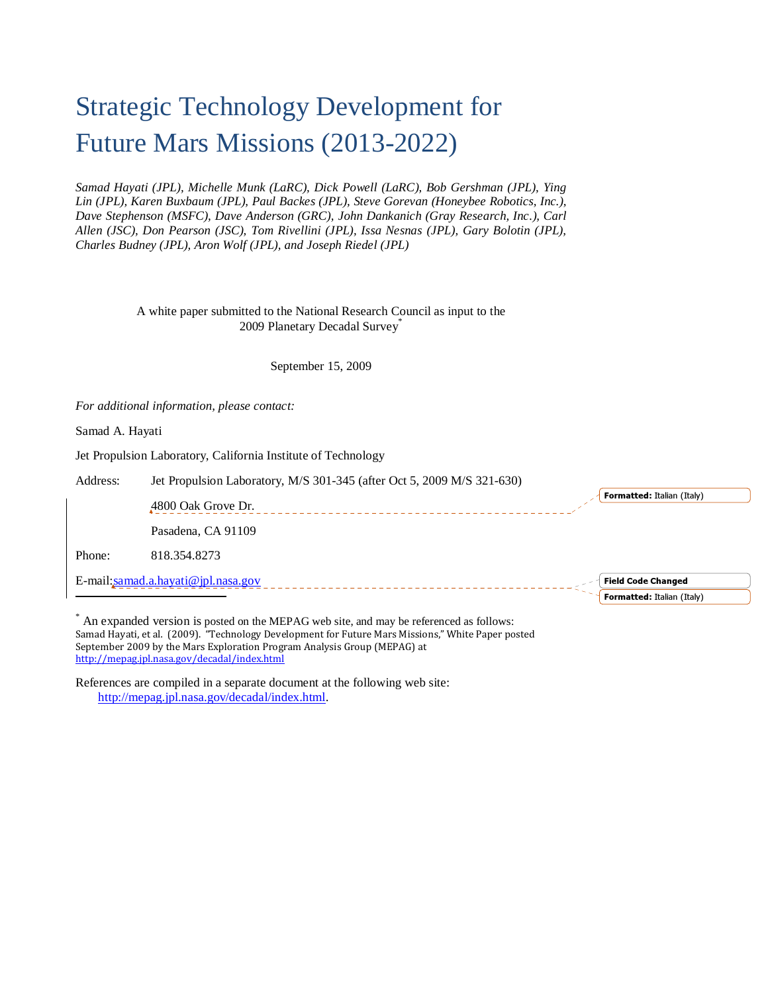# Strategic Technology Development for Future Mars Missions (2013-2022)

*Samad Hayati (JPL), Michelle Munk (LaRC), Dick Powell (LaRC), Bob Gershman (JPL), Ying Lin (JPL), Karen Buxbaum (JPL), Paul Backes (JPL), Steve Gorevan (Honeybee Robotics, Inc.), Dave Stephenson (MSFC), Dave Anderson (GRC), John Dankanich (Gray Research, Inc.), Carl Allen (JSC), Don Pearson (JSC), Tom Rivellini (JPL), Issa Nesnas (JPL), Gary Bolotin (JPL), Charles Budney (JPL), Aron Wolf (JPL), and Joseph Riedel (JPL)* 

> A white paper submitted to the National Research Council as input to the 2009 Planetary Decadal Survey<sup>\*</sup>

#### September 15, 2009

*For additional information, please contact:* 

Samad A. Hayati

Jet Propulsion Laboratory, California Institute of Technology

| Address:                                     | Jet Propulsion Laboratory, M/S 301-345 (after Oct 5, 2009 M/S 321-630) |  |                                   |  |  |
|----------------------------------------------|------------------------------------------------------------------------|--|-----------------------------------|--|--|
|                                              | 4800 Oak Grove Dr.                                                     |  | <b>Formatted:</b> Italian (Italy) |  |  |
|                                              | Pasadena, CA 91109                                                     |  |                                   |  |  |
| Phone:                                       | 818.354.8273                                                           |  |                                   |  |  |
| E-mail: $\text{samad.a.hayati@ipl.nasa.gov}$ |                                                                        |  | <b>Field Code Changed</b>         |  |  |
|                                              |                                                                        |  | <b>Formatted:</b> Italian (Italy) |  |  |

\* An expanded version is posted on the MEPAG web site, and may be referenced as follows: Samad Hayati, et al. (2009). "Technology Development for Future Mars Missions," White Paper posted September 2009 by the Mars Exploration Program Analysis Group (MEPAG) at http://mepag.jpl.nasa.gov/decadal/index.html

References are compiled in a separate document at the following web site: http://mepag.jpl.nasa.gov/decadal/index.html.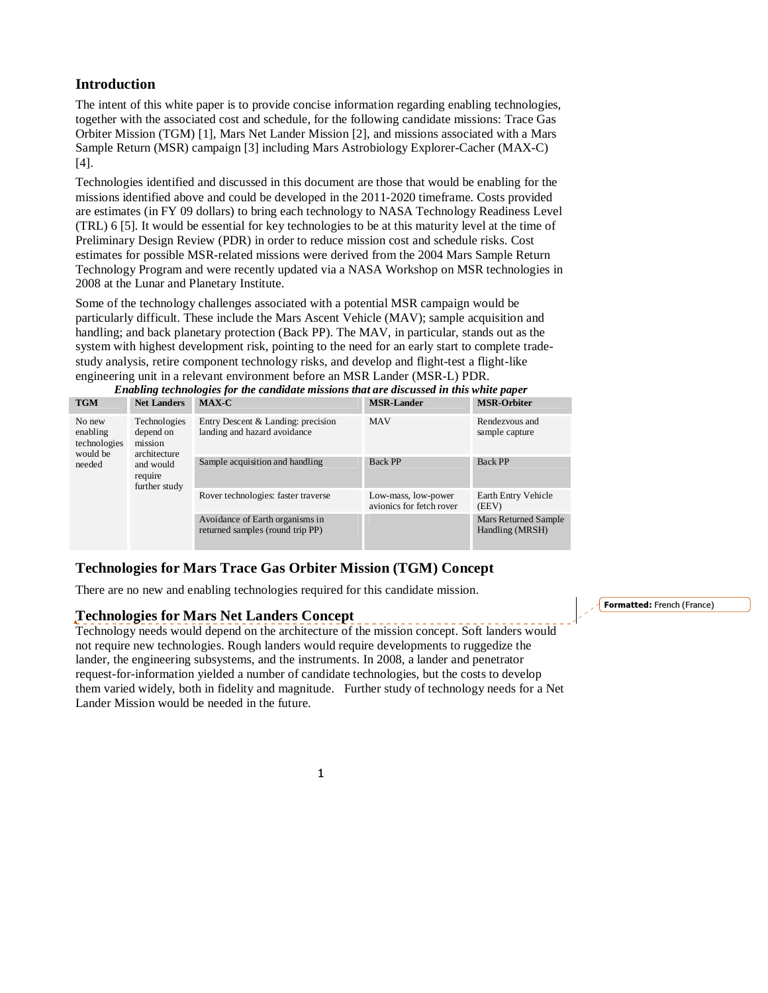## **Introduction**

The intent of this white paper is to provide concise information regarding enabling technologies, together with the associated cost and schedule, for the following candidate missions: Trace Gas Orbiter Mission (TGM) [1], Mars Net Lander Mission [2], and missions associated with a Mars Sample Return (MSR) campaign [3] including Mars Astrobiology Explorer-Cacher (MAX-C) [4].

Technologies identified and discussed in this document are those that would be enabling for the missions identified above and could be developed in the 2011-2020 timeframe. Costs provided are estimates (in FY 09 dollars) to bring each technology to NASA Technology Readiness Level (TRL) 6 [5]. It would be essential for key technologies to be at this maturity level at the time of Preliminary Design Review (PDR) in order to reduce mission cost and schedule risks. Cost estimates for possible MSR-related missions were derived from the 2004 Mars Sample Return Technology Program and were recently updated via a NASA Workshop on MSR technologies in 2008 at the Lunar and Planetary Institute.

Some of the technology challenges associated with a potential MSR campaign would be particularly difficult. These include the Mars Ascent Vehicle (MAV); sample acquisition and handling; and back planetary protection (Back PP). The MAV, in particular, stands out as the system with highest development risk, pointing to the need for an early start to complete tradestudy analysis, retire component technology risks, and develop and flight-test a flight-like engineering unit in a relevant environment before an MSR Lander (MSR-L) PDR.

| Enabling technologies for the candidate missions that are discussed in this white paper |                   |  |                   |                    |  |  |
|-----------------------------------------------------------------------------------------|-------------------|--|-------------------|--------------------|--|--|
| <b>TGM</b>                                                                              | Net Landers MAX-C |  | <b>MSR-Lander</b> | <b>MSR-Orbiter</b> |  |  |

| No new<br>enabling<br>technologies<br>would be<br>needed | Technologies<br>depend on<br>mission<br>architecture<br>and would<br>require<br>further study | Entry Descent & Landing: precision<br>landing and hazard avoidance  | <b>MAV</b>                                      | Rendezvous and<br>sample capture        |
|----------------------------------------------------------|-----------------------------------------------------------------------------------------------|---------------------------------------------------------------------|-------------------------------------------------|-----------------------------------------|
|                                                          |                                                                                               | Sample acquisition and handling                                     | <b>Back PP</b>                                  | <b>Back PP</b>                          |
|                                                          |                                                                                               | Rover technologies: faster traverse                                 | Low-mass, low-power<br>avionics for fetch rover | Earth Entry Vehicle<br>(EEV)            |
|                                                          |                                                                                               | Avoidance of Earth organisms in<br>returned samples (round trip PP) |                                                 | Mars Returned Sample<br>Handling (MRSH) |

# **Technologies for Mars Trace Gas Orbiter Mission (TGM) Concept**

There are no new and enabling technologies required for this candidate mission.

## **Technologies for Mars Net Landers Concept**

Technology needs would depend on the architecture of the mission concept. Soft landers would not require new technologies. Rough landers would require developments to ruggedize the lander, the engineering subsystems, and the instruments. In 2008, a lander and penetrator request-for-information yielded a number of candidate technologies, but the costs to develop them varied widely, both in fidelity and magnitude. Further study of technology needs for a Net Lander Mission would be needed in the future.

Formatted: French (France)

1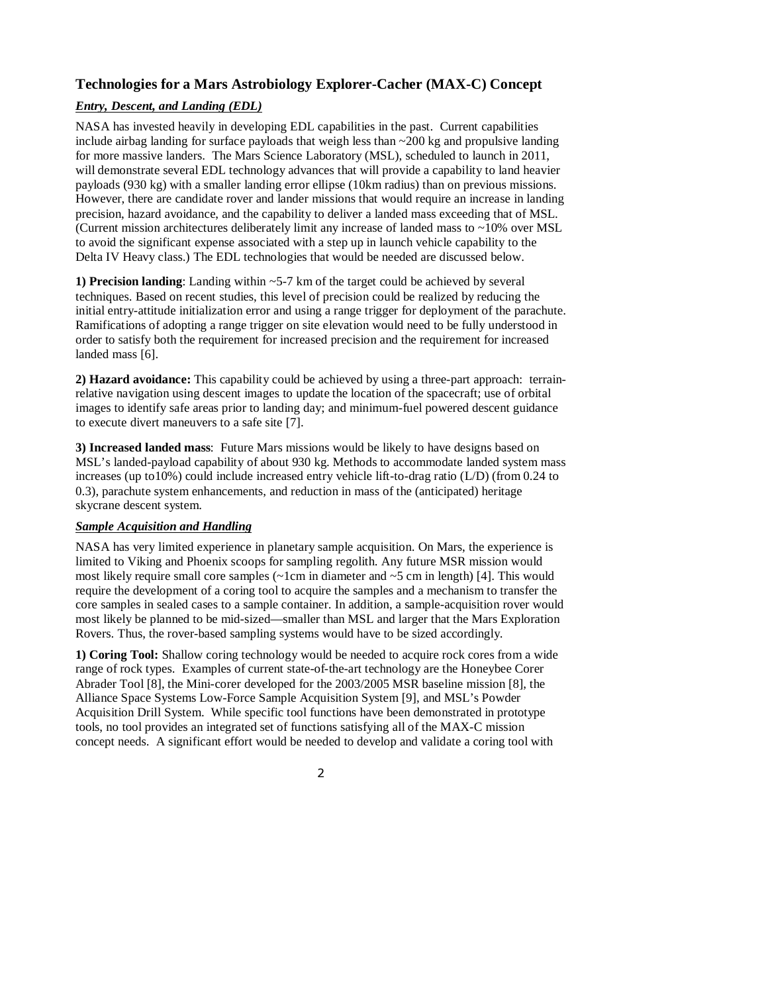## **Technologies for a Mars Astrobiology Explorer-Cacher (MAX-C) Concept**

## *Entry, Descent, and Landing (EDL)*

NASA has invested heavily in developing EDL capabilities in the past. Current capabilities include airbag landing for surface payloads that weigh less than  $\sim$ 200 kg and propulsive landing for more massive landers. The Mars Science Laboratory (MSL), scheduled to launch in 2011, will demonstrate several EDL technology advances that will provide a capability to land heavier payloads (930 kg) with a smaller landing error ellipse (10km radius) than on previous missions. However, there are candidate rover and lander missions that would require an increase in landing precision, hazard avoidance, and the capability to deliver a landed mass exceeding that of MSL. (Current mission architectures deliberately limit any increase of landed mass to ~10% over MSL to avoid the significant expense associated with a step up in launch vehicle capability to the Delta IV Heavy class.) The EDL technologies that would be needed are discussed below.

**1) Precision landing**: Landing within ~5-7 km of the target could be achieved by several techniques. Based on recent studies, this level of precision could be realized by reducing the initial entry-attitude initialization error and using a range trigger for deployment of the parachute. Ramifications of adopting a range trigger on site elevation would need to be fully understood in order to satisfy both the requirement for increased precision and the requirement for increased landed mass [6].

**2) Hazard avoidance:** This capability could be achieved by using a three-part approach: terrainrelative navigation using descent images to update the location of the spacecraft; use of orbital images to identify safe areas prior to landing day; and minimum-fuel powered descent guidance to execute divert maneuvers to a safe site [7].

**3) Increased landed mass**: Future Mars missions would be likely to have designs based on MSL's landed-payload capability of about 930 kg. Methods to accommodate landed system mass increases (up to10%) could include increased entry vehicle lift-to-drag ratio (L/D) (from 0.24 to 0.3), parachute system enhancements, and reduction in mass of the (anticipated) heritage skycrane descent system.

### *Sample Acquisition and Handling*

NASA has very limited experience in planetary sample acquisition. On Mars, the experience is limited to Viking and Phoenix scoops for sampling regolith. Any future MSR mission would most likely require small core samples ( $\sim$ 1cm in diameter and  $\sim$ 5 cm in length) [4]. This would require the development of a coring tool to acquire the samples and a mechanism to transfer the core samples in sealed cases to a sample container. In addition, a sample-acquisition rover would most likely be planned to be mid-sized—smaller than MSL and larger that the Mars Exploration Rovers. Thus, the rover-based sampling systems would have to be sized accordingly.

**1) Coring Tool:** Shallow coring technology would be needed to acquire rock cores from a wide range of rock types. Examples of current state-of-the-art technology are the Honeybee Corer Abrader Tool [8], the Mini-corer developed for the 2003/2005 MSR baseline mission [8], the Alliance Space Systems Low-Force Sample Acquisition System [9], and MSL's Powder Acquisition Drill System. While specific tool functions have been demonstrated in prototype tools, no tool provides an integrated set of functions satisfying all of the MAX-C mission concept needs. A significant effort would be needed to develop and validate a coring tool with

2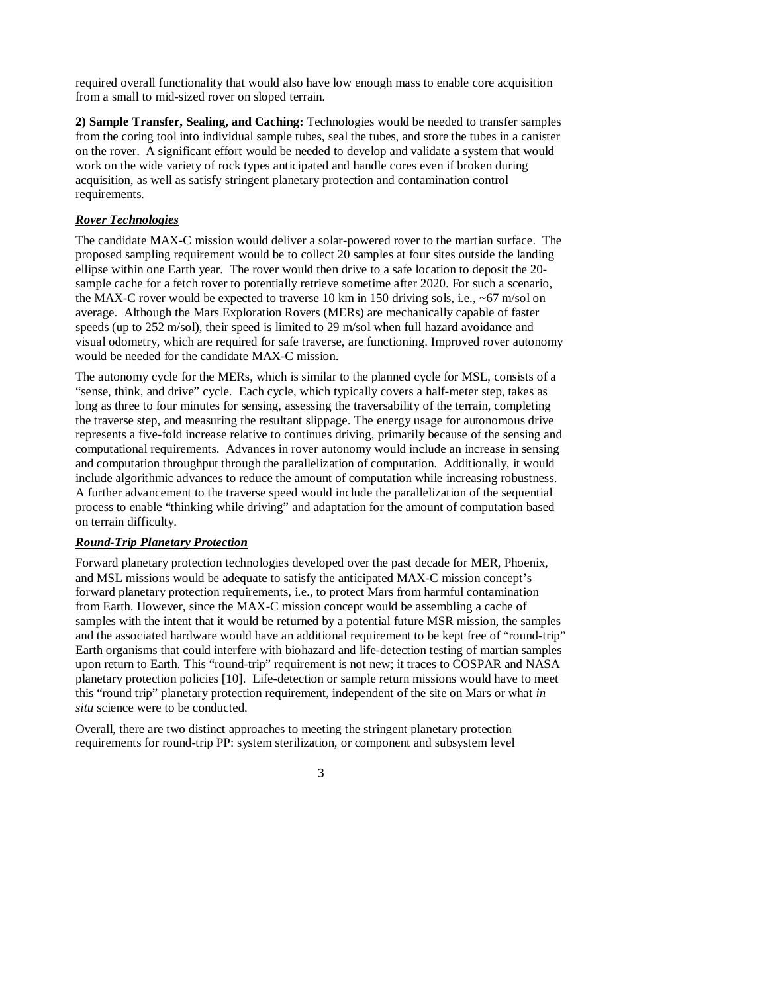required overall functionality that would also have low enough mass to enable core acquisition from a small to mid-sized rover on sloped terrain.

**2) Sample Transfer, Sealing, and Caching:** Technologies would be needed to transfer samples from the coring tool into individual sample tubes, seal the tubes, and store the tubes in a canister on the rover. A significant effort would be needed to develop and validate a system that would work on the wide variety of rock types anticipated and handle cores even if broken during acquisition, as well as satisfy stringent planetary protection and contamination control requirements.

### *Rover Technologies*

The candidate MAX-C mission would deliver a solar-powered rover to the martian surface. The proposed sampling requirement would be to collect 20 samples at four sites outside the landing ellipse within one Earth year. The rover would then drive to a safe location to deposit the 20 sample cache for a fetch rover to potentially retrieve sometime after 2020. For such a scenario, the MAX-C rover would be expected to traverse 10 km in 150 driving sols, i.e.,  $\sim 67$  m/sol on average. Although the Mars Exploration Rovers (MERs) are mechanically capable of faster speeds (up to 252 m/sol), their speed is limited to 29 m/sol when full hazard avoidance and visual odometry, which are required for safe traverse, are functioning. Improved rover autonomy would be needed for the candidate MAX-C mission.

The autonomy cycle for the MERs, which is similar to the planned cycle for MSL, consists of a "sense, think, and drive" cycle. Each cycle, which typically covers a half-meter step, takes as long as three to four minutes for sensing, assessing the traversability of the terrain, completing the traverse step, and measuring the resultant slippage. The energy usage for autonomous drive represents a five-fold increase relative to continues driving, primarily because of the sensing and computational requirements. Advances in rover autonomy would include an increase in sensing and computation throughput through the parallelization of computation. Additionally, it would include algorithmic advances to reduce the amount of computation while increasing robustness. A further advancement to the traverse speed would include the parallelization of the sequential process to enable "thinking while driving" and adaptation for the amount of computation based on terrain difficulty.

#### *Round-Trip Planetary Protection*

Forward planetary protection technologies developed over the past decade for MER, Phoenix, and MSL missions would be adequate to satisfy the anticipated MAX-C mission concept's forward planetary protection requirements, i.e., to protect Mars from harmful contamination from Earth. However, since the MAX-C mission concept would be assembling a cache of samples with the intent that it would be returned by a potential future MSR mission, the samples and the associated hardware would have an additional requirement to be kept free of "round-trip" Earth organisms that could interfere with biohazard and life-detection testing of martian samples upon return to Earth. This "round-trip" requirement is not new; it traces to COSPAR and NASA planetary protection policies [10]. Life-detection or sample return missions would have to meet this "round trip" planetary protection requirement, independent of the site on Mars or what *in situ* science were to be conducted.

Overall, there are two distinct approaches to meeting the stringent planetary protection requirements for round-trip PP: system sterilization, or component and subsystem level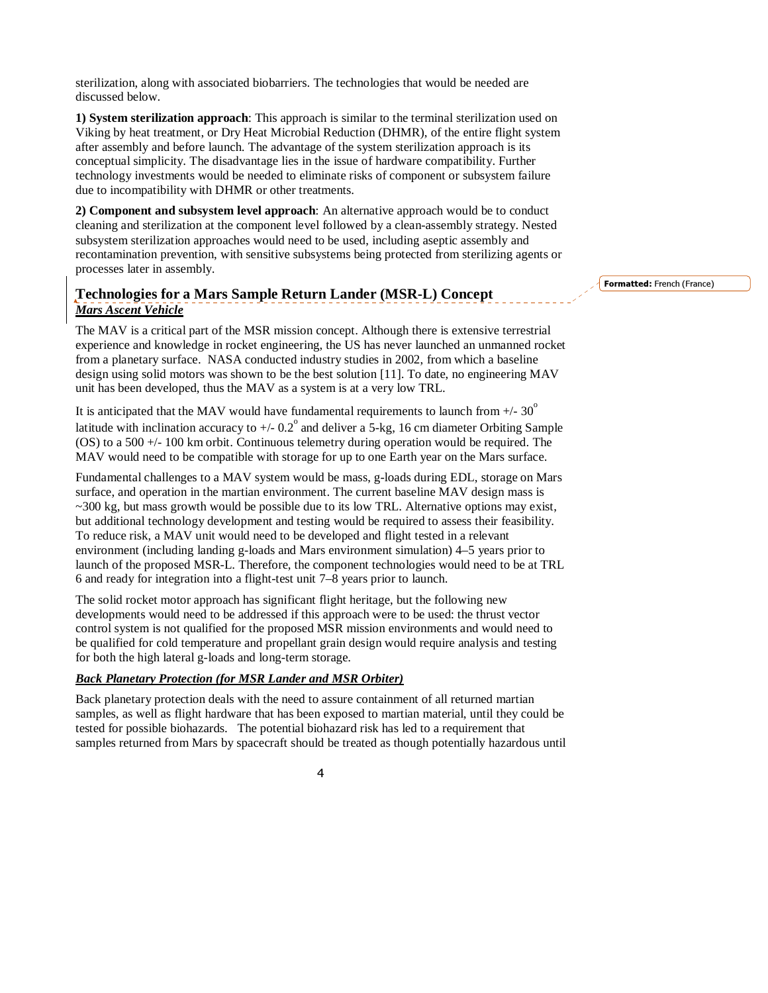sterilization, along with associated biobarriers. The technologies that would be needed are discussed below.

**1) System sterilization approach**: This approach is similar to the terminal sterilization used on Viking by heat treatment, or Dry Heat Microbial Reduction (DHMR), of the entire flight system after assembly and before launch. The advantage of the system sterilization approach is its conceptual simplicity. The disadvantage lies in the issue of hardware compatibility. Further technology investments would be needed to eliminate risks of component or subsystem failure due to incompatibility with DHMR or other treatments.

**2) Component and subsystem level approach**: An alternative approach would be to conduct cleaning and sterilization at the component level followed by a clean-assembly strategy. Nested subsystem sterilization approaches would need to be used, including aseptic assembly and recontamination prevention, with sensitive subsystems being protected from sterilizing agents or processes later in assembly.

## **Technologies for a Mars Sample Return Lander (MSR-L) Concept**  *Mars Ascent Vehicle*

The MAV is a critical part of the MSR mission concept. Although there is extensive terrestrial experience and knowledge in rocket engineering, the US has never launched an unmanned rocket from a planetary surface. NASA conducted industry studies in 2002, from which a baseline design using solid motors was shown to be the best solution [11]. To date, no engineering MAV unit has been developed, thus the MAV as a system is at a very low TRL.

It is anticipated that the MAV would have fundamental requirements to launch from  $+/-30^{\circ}$ latitude with inclination accuracy to  $+/- 0.2^{\circ}$  and deliver a 5-kg, 16 cm diameter Orbiting Sample (OS) to a 500 +/- 100 km orbit. Continuous telemetry during operation would be required. The MAV would need to be compatible with storage for up to one Earth year on the Mars surface.

Fundamental challenges to a MAV system would be mass, g-loads during EDL, storage on Mars surface, and operation in the martian environment. The current baseline MAV design mass is  $\sim$ 300 kg, but mass growth would be possible due to its low TRL. Alternative options may exist, but additional technology development and testing would be required to assess their feasibility. To reduce risk, a MAV unit would need to be developed and flight tested in a relevant environment (including landing g-loads and Mars environment simulation) 4–5 years prior to launch of the proposed MSR-L. Therefore, the component technologies would need to be at TRL 6 and ready for integration into a flight-test unit 7–8 years prior to launch.

The solid rocket motor approach has significant flight heritage, but the following new developments would need to be addressed if this approach were to be used: the thrust vector control system is not qualified for the proposed MSR mission environments and would need to be qualified for cold temperature and propellant grain design would require analysis and testing for both the high lateral g-loads and long-term storage.

### *Back Planetary Protection (for MSR Lander and MSR Orbiter)*

Back planetary protection deals with the need to assure containment of all returned martian samples, as well as flight hardware that has been exposed to martian material, until they could be tested for possible biohazards. The potential biohazard risk has led to a requirement that samples returned from Mars by spacecraft should be treated as though potentially hazardous until Formatted: French (France)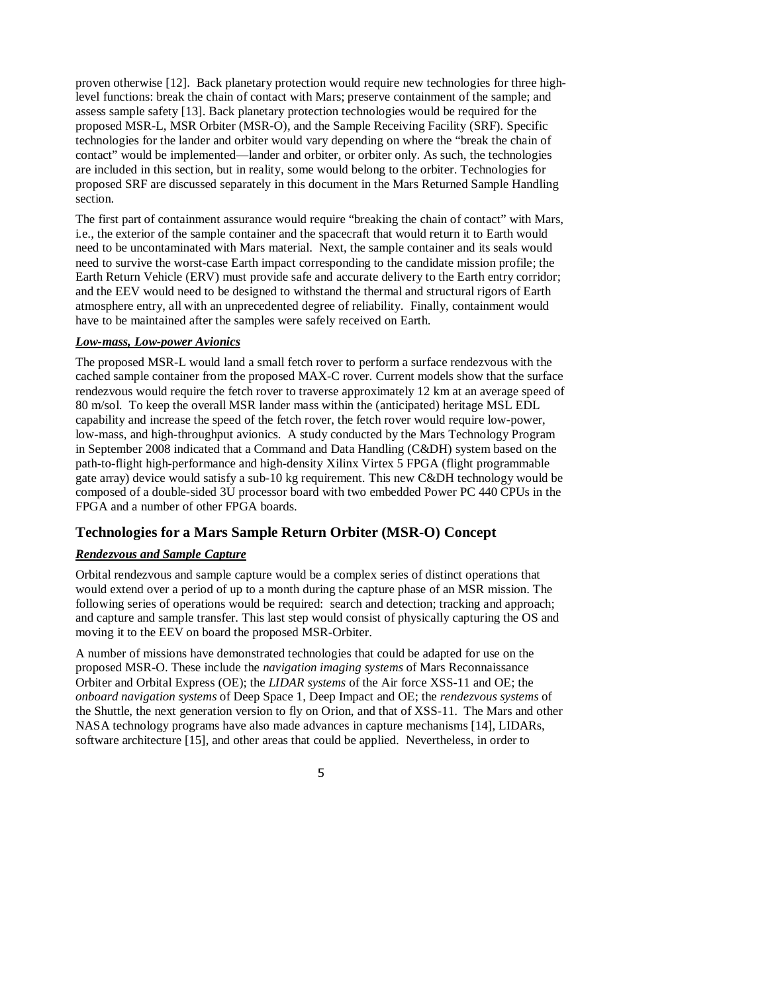proven otherwise [12]. Back planetary protection would require new technologies for three highlevel functions: break the chain of contact with Mars; preserve containment of the sample; and assess sample safety [13]. Back planetary protection technologies would be required for the proposed MSR-L, MSR Orbiter (MSR-O), and the Sample Receiving Facility (SRF). Specific technologies for the lander and orbiter would vary depending on where the "break the chain of contact" would be implemented—lander and orbiter, or orbiter only. As such, the technologies are included in this section, but in reality, some would belong to the orbiter. Technologies for proposed SRF are discussed separately in this document in the Mars Returned Sample Handling section.

The first part of containment assurance would require "breaking the chain of contact" with Mars, i.e., the exterior of the sample container and the spacecraft that would return it to Earth would need to be uncontaminated with Mars material. Next, the sample container and its seals would need to survive the worst-case Earth impact corresponding to the candidate mission profile; the Earth Return Vehicle (ERV) must provide safe and accurate delivery to the Earth entry corridor; and the EEV would need to be designed to withstand the thermal and structural rigors of Earth atmosphere entry, all with an unprecedented degree of reliability. Finally, containment would have to be maintained after the samples were safely received on Earth.

#### *Low-mass, Low-power Avionics*

The proposed MSR-L would land a small fetch rover to perform a surface rendezvous with the cached sample container from the proposed MAX-C rover. Current models show that the surface rendezvous would require the fetch rover to traverse approximately 12 km at an average speed of 80 m/sol. To keep the overall MSR lander mass within the (anticipated) heritage MSL EDL capability and increase the speed of the fetch rover, the fetch rover would require low-power, low-mass, and high-throughput avionics. A study conducted by the Mars Technology Program in September 2008 indicated that a Command and Data Handling (C&DH) system based on the path-to-flight high-performance and high-density Xilinx Virtex 5 FPGA (flight programmable gate array) device would satisfy a sub-10 kg requirement. This new C&DH technology would be composed of a double-sided 3U processor board with two embedded Power PC 440 CPUs in the FPGA and a number of other FPGA boards.

## **Technologies for a Mars Sample Return Orbiter (MSR-O) Concept**

### *Rendezvous and Sample Capture*

Orbital rendezvous and sample capture would be a complex series of distinct operations that would extend over a period of up to a month during the capture phase of an MSR mission. The following series of operations would be required: search and detection; tracking and approach; and capture and sample transfer. This last step would consist of physically capturing the OS and moving it to the EEV on board the proposed MSR-Orbiter.

A number of missions have demonstrated technologies that could be adapted for use on the proposed MSR-O. These include the *navigation imaging systems* of Mars Reconnaissance Orbiter and Orbital Express (OE); the *LIDAR systems* of the Air force XSS-11 and OE; the *onboard navigation systems* of Deep Space 1, Deep Impact and OE; the *rendezvous systems* of the Shuttle, the next generation version to fly on Orion, and that of XSS-11. The Mars and other NASA technology programs have also made advances in capture mechanisms [14], LIDARs, software architecture [15], and other areas that could be applied. Nevertheless, in order to

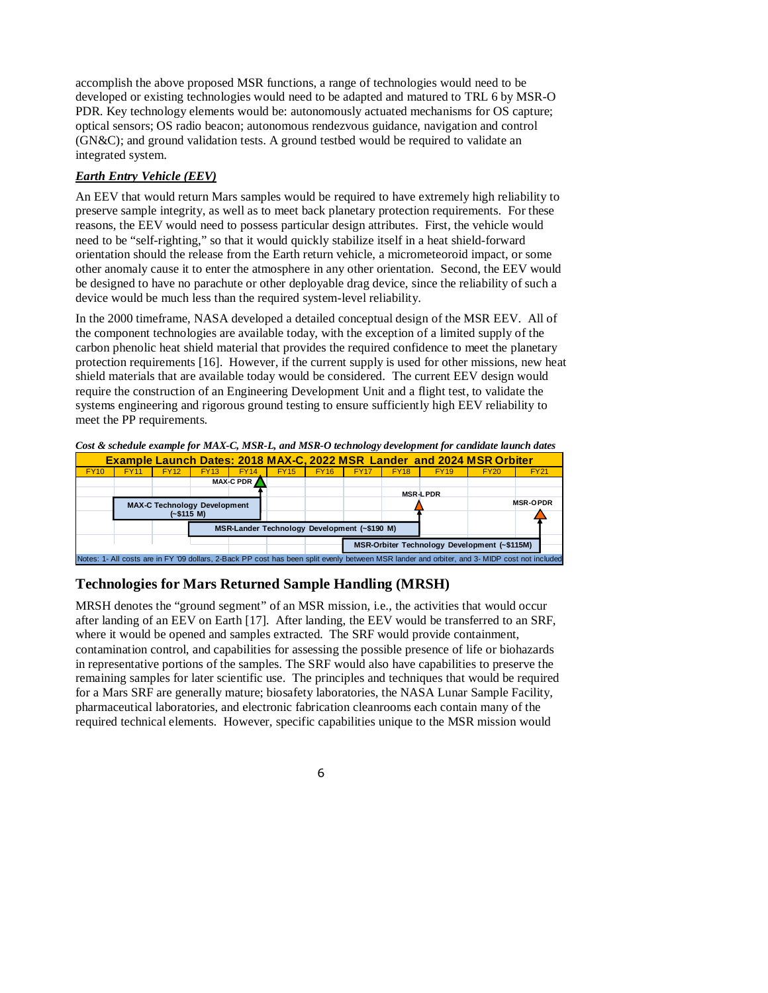accomplish the above proposed MSR functions, a range of technologies would need to be developed or existing technologies would need to be adapted and matured to TRL 6 by MSR-O PDR. Key technology elements would be: autonomously actuated mechanisms for OS capture; optical sensors; OS radio beacon; autonomous rendezvous guidance, navigation and control (GN&C); and ground validation tests. A ground testbed would be required to validate an integrated system.

## *Earth Entry Vehicle (EEV)*

An EEV that would return Mars samples would be required to have extremely high reliability to preserve sample integrity, as well as to meet back planetary protection requirements. For these reasons, the EEV would need to possess particular design attributes. First, the vehicle would need to be "self-righting," so that it would quickly stabilize itself in a heat shield-forward orientation should the release from the Earth return vehicle, a micrometeoroid impact, or some other anomaly cause it to enter the atmosphere in any other orientation. Second, the EEV would be designed to have no parachute or other deployable drag device, since the reliability of such a device would be much less than the required system-level reliability.

In the 2000 timeframe, NASA developed a detailed conceptual design of the MSR EEV. All of the component technologies are available today, with the exception of a limited supply of the carbon phenolic heat shield material that provides the required confidence to meet the planetary protection requirements [16]. However, if the current supply is used for other missions, new heat shield materials that are available today would be considered. The current EEV design would require the construction of an Engineering Development Unit and a flight test, to validate the systems engineering and rigorous ground testing to ensure sufficiently high EEV reliability to meet the PP requirements.



*Cost & schedule example for MAX-C, MSR-L, and MSR-O technology development for candidate launch dates*

# **Technologies for Mars Returned Sample Handling (MRSH)**

MRSH denotes the "ground segment" of an MSR mission, i.e., the activities that would occur after landing of an EEV on Earth [17]. After landing, the EEV would be transferred to an SRF, where it would be opened and samples extracted. The SRF would provide containment, contamination control, and capabilities for assessing the possible presence of life or biohazards in representative portions of the samples. The SRF would also have capabilities to preserve the remaining samples for later scientific use. The principles and techniques that would be required for a Mars SRF are generally mature; biosafety laboratories, the NASA Lunar Sample Facility, pharmaceutical laboratories, and electronic fabrication cleanrooms each contain many of the required technical elements. However, specific capabilities unique to the MSR mission would